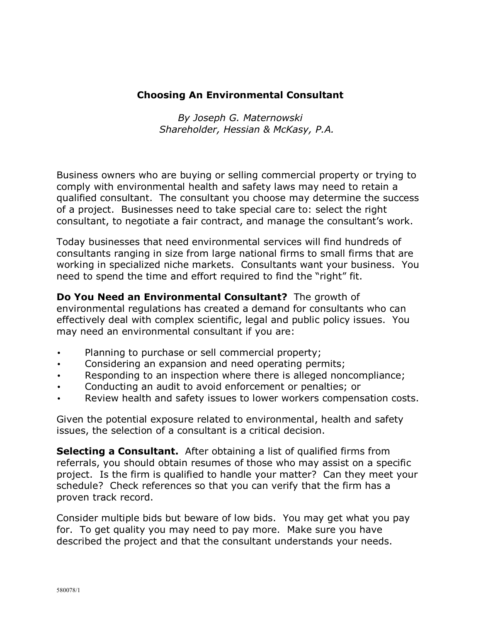## **Choosing An Environmental Consultant**

*By Joseph G. Maternowski Shareholder, Hessian & McKasy, P.A.*

Business owners who are buying or selling commercial property or trying to comply with environmental health and safety laws may need to retain a qualified consultant. The consultant you choose may determine the success of a project. Businesses need to take special care to: select the right consultant, to negotiate a fair contract, and manage the consultant's work.

Today businesses that need environmental services will find hundreds of consultants ranging in size from large national firms to small firms that are working in specialized niche markets. Consultants want your business. You need to spend the time and effort required to find the "right" fit.

**Do You Need an Environmental Consultant?** The growth of environmental regulations has created a demand for consultants who can effectively deal with complex scientific, legal and public policy issues. You may need an environmental consultant if you are:

- Planning to purchase or sell commercial property;
- Considering an expansion and need operating permits;
- Responding to an inspection where there is alleged noncompliance;
- Conducting an audit to avoid enforcement or penalties; or
- Review health and safety issues to lower workers compensation costs.

Given the potential exposure related to environmental, health and safety issues, the selection of a consultant is a critical decision.

**Selecting a Consultant.** After obtaining a list of qualified firms from referrals, you should obtain resumes of those who may assist on a specific project. Is the firm is qualified to handle your matter? Can they meet your schedule? Check references so that you can verify that the firm has a proven track record.

Consider multiple bids but beware of low bids. You may get what you pay for. To get quality you may need to pay more. Make sure you have described the project and that the consultant understands your needs.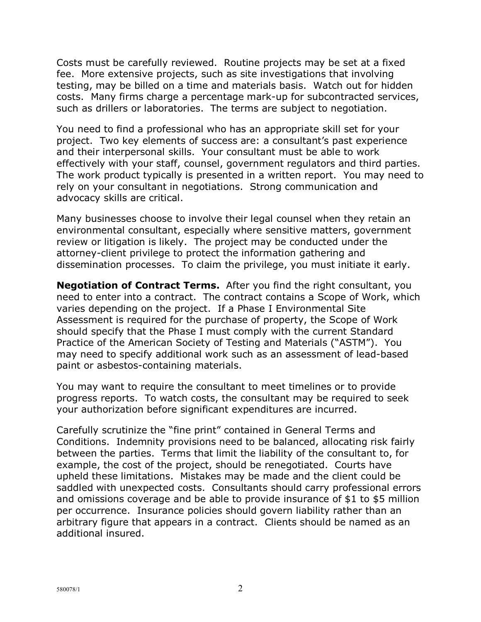Costs must be carefully reviewed. Routine projects may be set at a fixed fee. More extensive projects, such as site investigations that involving testing, may be billed on a time and materials basis. Watch out for hidden costs. Many firms charge a percentage mark-up for subcontracted services, such as drillers or laboratories. The terms are subject to negotiation.

You need to find a professional who has an appropriate skill set for your project. Two key elements of success are: a consultant's past experience and their interpersonal skills. Your consultant must be able to work effectively with your staff, counsel, government regulators and third parties. The work product typically is presented in a written report. You may need to rely on your consultant in negotiations. Strong communication and advocacy skills are critical.

Many businesses choose to involve their legal counsel when they retain an environmental consultant, especially where sensitive matters, government review or litigation is likely. The project may be conducted under the attorney-client privilege to protect the information gathering and dissemination processes. To claim the privilege, you must initiate it early.

**Negotiation of Contract Terms.** After you find the right consultant, you need to enter into a contract. The contract contains a Scope of Work, which varies depending on the project. If a Phase I Environmental Site Assessment is required for the purchase of property, the Scope of Work should specify that the Phase I must comply with the current Standard Practice of the American Society of Testing and Materials ("ASTM"). You may need to specify additional work such as an assessment of lead-based paint or asbestos-containing materials.

You may want to require the consultant to meet timelines or to provide progress reports. To watch costs, the consultant may be required to seek your authorization before significant expenditures are incurred.

Carefully scrutinize the "fine print" contained in General Terms and Conditions. Indemnity provisions need to be balanced, allocating risk fairly between the parties. Terms that limit the liability of the consultant to, for example, the cost of the project, should be renegotiated. Courts have upheld these limitations. Mistakes may be made and the client could be saddled with unexpected costs. Consultants should carry professional errors and omissions coverage and be able to provide insurance of \$1 to \$5 million per occurrence. Insurance policies should govern liability rather than an arbitrary figure that appears in a contract. Clients should be named as an additional insured.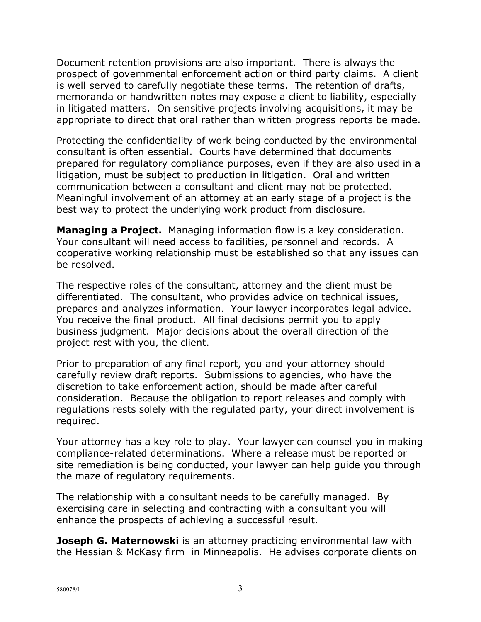Document retention provisions are also important. There is always the prospect of governmental enforcement action or third party claims. A client is well served to carefully negotiate these terms. The retention of drafts, memoranda or handwritten notes may expose a client to liability, especially in litigated matters. On sensitive projects involving acquisitions, it may be appropriate to direct that oral rather than written progress reports be made.

Protecting the confidentiality of work being conducted by the environmental consultant is often essential. Courts have determined that documents prepared for regulatory compliance purposes, even if they are also used in a litigation, must be subject to production in litigation. Oral and written communication between a consultant and client may not be protected. Meaningful involvement of an attorney at an early stage of a project is the best way to protect the underlying work product from disclosure.

**Managing a Project.** Managing information flow is a key consideration. Your consultant will need access to facilities, personnel and records. A cooperative working relationship must be established so that any issues can be resolved.

The respective roles of the consultant, attorney and the client must be differentiated. The consultant, who provides advice on technical issues, prepares and analyzes information. Your lawyer incorporates legal advice. You receive the final product. All final decisions permit you to apply business judgment. Major decisions about the overall direction of the project rest with you, the client.

Prior to preparation of any final report, you and your attorney should carefully review draft reports. Submissions to agencies, who have the discretion to take enforcement action, should be made after careful consideration. Because the obligation to report releases and comply with regulations rests solely with the regulated party, your direct involvement is required.

Your attorney has a key role to play. Your lawyer can counsel you in making compliance-related determinations. Where a release must be reported or site remediation is being conducted, your lawyer can help guide you through the maze of regulatory requirements.

The relationship with a consultant needs to be carefully managed. By exercising care in selecting and contracting with a consultant you will enhance the prospects of achieving a successful result.

**Joseph G. Maternowski** is an attorney practicing environmental law with the Hessian & McKasy firm in Minneapolis. He advises corporate clients on